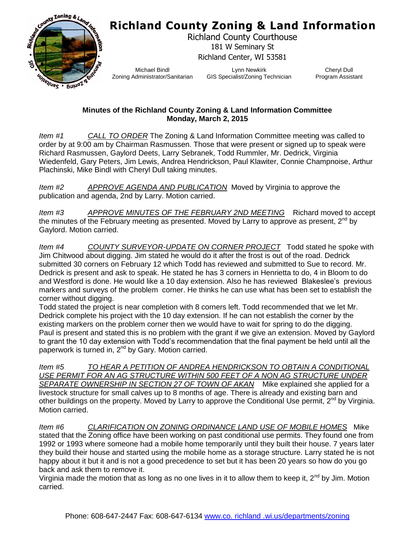## **Richland County Zoning & Land Information**



Richland County Courthouse 181 W Seminary St Richland Center, WI 53581

Michael Bindl Zoning Administrator/Sanitarian

Lynn Newkirk GIS Specialist/Zoning Technician

Cheryl Dull Program Assistant

## **Minutes of the Richland County Zoning & Land Information Committee Monday, March 2, 2015**

*Item #1 CALL TO ORDER* The Zoning & Land Information Committee meeting was called to order by at 9:00 am by Chairman Rasmussen. Those that were present or signed up to speak were Richard Rasmussen, Gaylord Deets, Larry Sebranek, Todd Rummler, Mr. Dedrick, Virginia Wiedenfeld, Gary Peters, Jim Lewis, Andrea Hendrickson, Paul Klawiter, Connie Champnoise, Arthur Plachinski, Mike Bindl with Cheryl Dull taking minutes.

*Item #2 APPROVE AGENDA AND PUBLICATION* Moved by Virginia to approve the publication and agenda, 2nd by Larry. Motion carried.

*Item #3 APPROVE MINUTES OF THE FEBRUARY 2ND MEETING* Richard moved to accept the minutes of the February meeting as presented. Moved by Larry to approve as present,  $2^{nd}$  by Gaylord. Motion carried.

*Item #4 COUNTY SURVEYOR-UPDATE ON CORNER PROJECT* Todd stated he spoke with Jim Chitwood about digging. Jim stated he would do it after the frost is out of the road. Dedrick submitted 30 corners on February 12 which Todd has reviewed and submitted to Sue to record. Mr. Dedrick is present and ask to speak. He stated he has 3 corners in Henrietta to do, 4 in Bloom to do and Westford is done. He would like a 10 day extension. Also he has reviewed Blakeslee's previous markers and surveys of the problem corner. He thinks he can use what has been set to establish the corner without digging.

Todd stated the project is near completion with 8 corners left. Todd recommended that we let Mr. Dedrick complete his project with the 10 day extension. If he can not establish the corner by the existing markers on the problem corner then we would have to wait for spring to do the digging. Paul is present and stated this is no problem with the grant if we give an extension. Moved by Gaylord to grant the 10 day extension with Todd's recommendation that the final payment be held until all the paperwork is turned in,  $2^{nd}$  by Gary. Motion carried.

*Item #5 TO HEAR A PETITION OF ANDREA HENDRICKSON TO OBTAIN A CONDITIONAL USE PERMIT FOR AN AG STRUCTURE WITHIN 500 FEET OF A NON AG STRUCTURE UNDER SEPARATE OWNERSHIP IN SECTION 27 OF TOWN OF AKAN* Mike explained she applied for a livestock structure for small calves up to 8 months of age. There is already and existing barn and other buildings on the property. Moved by Larry to approve the Conditional Use permit,  $2^{nd}$  by Virginia. Motion carried.

*Item #6 CLARIFICATION ON ZONING ORDINANCE LAND USE OF MOBILE HOMES* Mike stated that the Zoning office have been working on past conditional use permits. They found one from 1992 or 1993 where someone had a mobile home temporarily until they built their house. 7 years later they build their house and started using the mobile home as a storage structure. Larry stated he is not happy about it but it and is not a good precedence to set but it has been 20 years so how do you go back and ask them to remove it.

Virginia made the motion that as long as no one lives in it to allow them to keep it,  $2^{nd}$  by Jim. Motion carried.